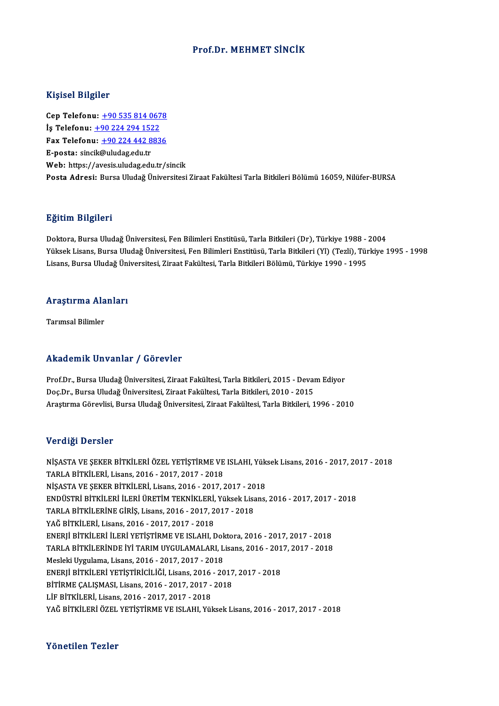### Prof.Dr.MEHMET SİNCİK

### Kişisel Bilgiler

Cep Telefonu: +90 535 814 0678 دور<br>Cep Telefonu: <u>+90 535 814 067</u><br>İş Telefonu: <u>+90 224 294 1522</u><br>Fax Telefonu: +90 224 442 992 Cep Telefonu: <u>+90 535 814 0678</u><br>İş Telefonu: <u>+90 224 294 1522</u><br>Fax Telefonu: <u>+90 224 442 8836</u><br>E nosta: sinsik@uludas.edu.tr İş Telefonu: <u>+90 224 294 152</u><br>Fax Telefonu: <u>+90 224 442 8</u><br>E-posta: sinc[ik](tel:+90 224 294 1522)[@uludag.edu.tr](tel:+90 224 442 8836)<br>Web: https://avesis.uludag.edu Fax Telefonu: <u>+90 224 442 8836</u><br>E-posta: sincik@uludag.edu.tr<br>Web: https://avesis.uludag.edu.tr/sincik Posta Adresi: Bursa Uludağ Üniversitesi Ziraat Fakültesi Tarla Bitkileri Bölümü 16059, Nilüfer-BURSA

#### Eğitim Bilgileri

Doktora, Bursa Uludağ Üniversitesi, Fen Bilimleri Enstitüsü, Tarla Bitkileri (Dr), Türkiye 1988 - 2004 25.<br>1998- Doktora, Bursa Uludağ Üniversitesi, Fen Bilimleri Enstitüsü, Tarla Bitkileri (Dr), Türkiye 1988 - 2004<br>Yüksek Lisans, Bursa Uludağ Üniversitesi, Fen Bilimleri Enstitüsü, Tarla Bitkileri (Yl) (Tezli), Türkiye 1995 Doktora, Bursa Uludağ Üniversitesi, Fen Bilimleri Enstitüsü, Tarla Bitkileri (Dr), Türkiye 1988 -<br>Yüksek Lisans, Bursa Uludağ Üniversitesi, Fen Bilimleri Enstitüsü, Tarla Bitkileri (Yl) (Tezli), Tür<br>Lisans, Bursa Uludağ Ün

# Lisans, bursa viudag oni<br>Araştırma Alanları <mark>Araştırma Ala</mark><br>Tarımsal Bilimler

# Akademik Unvanlar / Görevler

Akademik Unvanlar / Görevler<br>Prof.Dr., Bursa Uludağ Üniversitesi, Ziraat Fakültesi, Tarla Bitkileri, 2015 - Devam Ediyor<br>Des Dr., Bursa Uludağ Üniversitesi, Ziraat Fakültesi, Tarla Bitkileri, 2010, 2015 rritut omrit "on vurirar" / "u or ovior"<br>Prof.Dr., Bursa Uludağ Üniversitesi, Ziraat Fakültesi, Tarla Bitkileri, 2015 - Devai<br>Doç.Dr., Bursa Uludağ Üniversitesi, Ziraat Fakültesi, Tarla Bitkileri, 2010 - 2015<br>Arastırma Gör Prof.Dr., Bursa Uludağ Üniversitesi, Ziraat Fakültesi, Tarla Bitkileri, 2015 - Devam Ediyor<br>Doç.Dr., Bursa Uludağ Üniversitesi, Ziraat Fakültesi, Tarla Bitkileri, 2010 - 2015<br>Araştırma Görevlisi, Bursa Uludağ Üniversitesi, Araştırma Görevlisi, Bursa Uludağ Üniversitesi, Ziraat Fakültesi, Tarla Bitkileri, 1996 - 2010<br>Verdiği Dersler

Verdiği Dersler<br>NİŞASTA VE ŞEKER BİTKİLERİ ÖZEL YETİŞTİRME VE ISLAHI, Yüksek Lisans, 2016 - 2017, 2017 - 2018<br>TARLA RİTKİLERİ Lisans, 2016 - 2017, 2017, 2019 TETRIŞI DEFSIEL<br>TARLA BİTKİLERİ, Lisans, 2016 - 2017, 2017 - 2018<br>NİSASTA VE SEKER BİTKİLERİ, Lisans, 2016 - 2017 - 2018<br>NİSASTA VE SEKER BİTKİLERİ, Lisans, 2016 - 2017 NİŞASTA VE ŞEKER BİTKİLERİ ÖZEL YETİŞTİRME VE ISLAHI, Yük<br>TARLA BİTKİLERİ, Lisans, 2016 - 2017, 2017 - 2018<br>NİŞASTA VE ŞEKER BİTKİLERİ, Lisans, 2016 - 2017, 2017 - 2018<br>ENDÜSTRİ BİTKİLERİ İLERİ ÜRETİM TEKNİKLERİ, Völtəsk L TARLA BİTKİLERİ, Lisans, 2016 - 2017, 2017 - 2018<br>NİŞASTA VE ŞEKER BİTKİLERİ, Lisans, 2016 - 2017, 2017 - 2018<br>ENDÜSTRİ BİTKİLERİ İLERİ ÜRETİM TEKNİKLERİ, Yüksek Lisans, 2016 - 2017, 2017 - 2018 NİŞASTA VE ŞEKER BİTKİLERİ, Lisans, 2016 - 2017, 2017 - 20<br>ENDÜSTRİ BİTKİLERİ İLERİ ÜRETİM TEKNİKLERİ, Yüksek Lisa<br>TARLA BİTKİLERİNE GİRİŞ, Lisans, 2016 - 2017, 2017 - 2018<br>YAĞ PİTKİLERİ Lisans, 2016 - 2017, 2017, 2019 ENDÜSTRİ BİTKİLERİ İLERİ ÜRETİM TEKNİKLERİ,<br>TARLA BİTKİLERİNE GİRİŞ, Lisans, 2016 - 2017, 2<br>YAĞ BİTKİLERİ, Lisans, 2016 - 2017, 2017 - 2018<br>ENEDIİ BİTKİLERİ ILERİ VETİSTİRME VE ISLAHLI TARLA BİTKİLERİNE GİRİŞ, Lisans, 2016 - 2017, 2017 - 2018<br>YAĞ BİTKİLERİ, Lisans, 2016 - 2017, 2017 - 2018<br>ENERJİ BİTKİLERİ İLERİ YETİŞTİRME VE ISLAHI, Doktora, 2016 - 2017, 2017 - 2018<br>TARLA RİTKİLERİ İLERİ YETİŞTİRME VE I YAĞ BİTKİLERİ, Lisans, 2016 - 2017, 2017 - 2018<br>ENERJİ BİTKİLERİ İLERİ YETİŞTİRME VE ISLAHI, Doktora, 2016 - 2017, 2017 - 2018<br>TARLA BİTKİLERİNDE İYİ TARIM UYGULAMALARI, Lisans, 2016 - 2017, 2017 - 2018<br>Mesleki Uygulama, L ENERJİ BİTKİLERİ İLERİ YETİŞTİRME VE ISLAHI, Dok<br>TARLA BİTKİLERİNDE İYİ TARIM UYGULAMALARI, L<br>Mesleki Uygulama, Lisans, 2016 - 2017, 2017 - 2018<br>ENEPJİ BİTKİLERİ VETİSTİRİCİLİĞI, Lisans, 2016 - 20 TARLA BİTKİLERİNDE İYİ TARIM UYGULAMALARI, Lisans, 2016 - 201<br>Mesleki Uygulama, Lisans, 2016 - 2017, 2017 - 2018<br>ENERJİ BİTKİLERİ YETİŞTİRİCİLİĞİ, Lisans, 2016 - 2017, 2017 - 2018<br>PİTİPME CALISMASI, Lisans, 2016 - 2017, 20 Mesleki Uygulama, Lisans, 2016 - 2017, 2017 - 2018<br>ENERJİ BİTKİLERİ YETİŞTİRİCİLİĞİ, Lisans, 2016 - 2017<br>BİTİRME ÇALIŞMASI, Lisans, 2016 - 2017, 2017 - 2018<br>Lif RİTKİLERİ, Lisans, 2016 - 2017, 2017 - 2019 ENERJİ BİTKİLERİ YETİŞTİRİCİLİĞİ, Lisans, 2016<br>BİTİRME ÇALIŞMASI, Lisans, 2016 - 2017, 2017 -<br>LİF BİTKİLERİ, Lisans, 2016 - 2017, 2017 - 2018<br>VAĞ PİTKİLERİ, ÖZEL VETİSTİDME VE ISLAHL Völ BİTİRME ÇALIŞMASI, Lisans, 2016 - 2017, 2017 - 2018<br>LİF BİTKİLERİ, Lisans, 2016 - 2017, 2017 - 2018<br>YAĞ BİTKİLERİ ÖZEL YETİSTİRME VE ISLAHI, Yüksek Lisans, 2016 - 2017, 2017 - 2018

### Yönetilen Tezler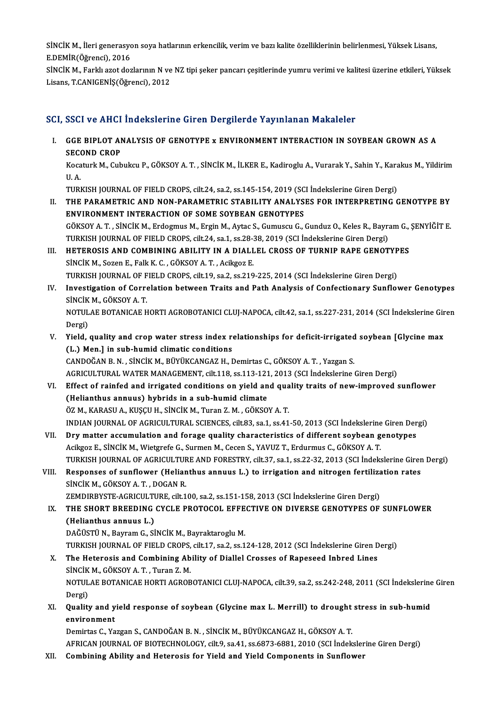SİNCİK M., İleri generasyon soya hatlarının erkencilik, verim ve bazı kalite özelliklerinin belirlenmesi, Yüksek Lisans,<br>E DEMİR(Öğrensi), 2016 SİNCİK M., İleri generasyo<br>E.DEMİR(Öğrenci), 2016<br>SİNCİK M., Farkk azat da SİNCİK M., İleri generasyon soya hatlarının erkencilik, verim ve bazı kalite özelliklerinin belirlenmesi, Yüksek Lisans,<br>E.DEMİR(Öğrenci), 2016<br>SİNCİK M., Farklı azot dozlarının N ve NZ tipi şeker pancarı çeşitlerinde yumr

E.DEMİR(Öğrenci), 2016<br>SİNCİK M., Farklı azot dozlarının N ve NZ tipi şeker pancarı çeşitlerinde yumru verimi ve kalitesi üzerine etkileri, Yüksek<br>Lisans, T.CANIGENİŞ(Öğrenci), 2012

## SCI, SSCI ve AHCI İndekslerine Giren Dergilerde Yayınlanan Makaleler

CI, SSCI ve AHCI İndekslerine Giren Dergilerde Yayınlanan Makaleler<br>I. GGE BIPLOT ANALYSIS OF GENOTYPE x ENVIRONMENT INTERACTION IN SOYBEAN GROWN AS A<br>SECOND CROP **GGE BIPLOT ANN**<br>SECOND CROP<br>Kosaturk M. Cub GGE BIPLOT ANALYSIS OF GENOTYPE x ENVIRONMENT INTERACTION IN SOYBEAN GROWN AS A<br>SECOND CROP<br>Kocaturk M., Cubukcu P., GÖKSOY A. T. , SİNCİK M., İLKER E., Kadiroglu A., Vurarak Y., Sahin Y., Karakus M., Yildirim<br>H. A

SEC<br>Koca<br>U.A. Kocaturk M., Cubukcu P., GÖKSOY A. T. , SİNCİK M., İLKER E., Kadiroglu A., Vurarak Y., Sahin Y., Kara<br>U. A.<br>TURKISH JOURNAL OF FIELD CROPS, cilt.24, sa.2, ss.145-154, 2019 (SCI İndekslerine Giren Dergi)<br>THE RARAMETRIC AND

TURKISH JOURNAL OF FIELD CROPS, cilt.24, sa.2, ss.145-154, 2019 (SCI Indekslerine Giren Dergi)

- U. A.<br>TURKISH JOURNAL OF FIELD CROPS, cilt.24, sa.2, ss.145-154, 2019 (SCI İndekslerine Giren Dergi)<br>II. THE PARAMETRIC AND NON-PARAMETRIC STABILITY ANALYSES FOR INTERPRETING GENOTYPE BY<br>ENVIRONMENT INTERACTION OF SOME SOY GÖKSOYA.T. ,SİNCİKM.,ErdogmusM.,ErginM.,Aytac S.,GumuscuG.,GunduzO.,KelesR.,BayramG.,ŞENYİĞİTE. ENVIRONMENT INTERACTION OF SOME SOYBEAN GENOTYPES<br>GÖKSOY A. T. , SİNCİK M., Erdogmus M., Ergin M., Aytac S., Gumuscu G., Gunduz O., Keles R., Bayra<br>TURKISH JOURNAL OF FIELD CROPS, cilt.24, sa.1, ss.28-38, 2019 (SCI İndeksl GÖKSOY A. T., SİNCİK M., Erdogmus M., Ergin M., Aytac S., Gumuscu G., Gunduz O., Keles R., Bayram G.,<br>TURKISH JOURNAL OF FIELD CROPS, cilt.24, sa.1, ss.28-38, 2019 (SCI İndekslerine Giren Dergi)<br>III. HETEROSIS AND COMBININ
- TURKISH JOURNAL OF FIELD CROPS, cilt.24, sa.1, ss.28-3<br>HETEROSIS AND COMBINING ABILITY IN A DIALI<br>SİNCİK M., Sozen E., Falk K. C. , GÖKSOY A. T. , Acikgoz E.<br>TURKISH JOURNAL OF EJELD CROPS, silt.19, ss.2, ss.219 HETEROSIS AND COMBINING ABILITY IN A DIALLEL CROSS OF TURNIP RAPE GENOTYP<br>SINCIK M., Sozen E., Falk K. C. , GÖKSOY A. T. , Acikgoz E.<br>TURKISH JOURNAL OF FIELD CROPS, cilt.19, sa.2, ss.219-225, 2014 (SCI İndekslerine Giren SINCIK M., Sozen E., Falk K. C. , GÖKSOY A. T. , Acikgoz E.<br>TURKISH JOURNAL OF FIELD CROPS, cilt.19, sa.2, ss.219-225, 2014 (SCI Indekslerine Giren Dergi)<br>IV. Investigation of Correlation between Traits and Path Analysis o
- TURKISH JOURNAL OF F<br>Investigation of Corre<br>SİNCİK M., GÖKSOY A. T.<br>NOTULAE POTANICAE H Investigation of Correlation between Traits and Path Analysis of Confectionary Sunflower Genotypes<br>SINCIK M., GÖKSOY A. T.<br>NOTULAE BOTANICAE HORTI AGROBOTANICI CLUJ-NAPOCA, cilt.42, sa.1, ss.227-231, 2014 (SCI İndekslerine SİNCİK<br>NOTUL<br>Dergi)<br>Vield NOTULAE BOTANICAE HORTI AGROBOTANICI CLUJ-NAPOCA, cilt.42, sa.1, ss.227-231, 2014 (SCI İndekslerine Gir<br>Dergi)<br>V. Yield, quality and crop water stress index relationships for deficit-irrigated soybean [Glycine max<br>(1) Mon
- Dergi)<br>V. Yield, quality and crop water stress index relationships for deficit-irrigated soybean [Glycine max<br>(L.) Men.] in sub-humid climatic conditions CANDOĞANB.N. ,SİNCİKM.,BÜYÜKCANGAZH.,DemirtasC.,GÖKSOYA.T. ,YazganS. AGRICULTURAL WATER MANAGEMENT, cilt.118, ss.113-121, 2013 (SCI İndekslerine Giren Dergi)
- VI. Effect of rainfed and irrigated conditions on yield and quality traits of new-improved sunflower (Helianthus annuus) hybrids in a sub-humid climate ÖZM.,KARASUA.,KUŞÇUH.,SİNCİKM.,TuranZ.M. ,GÖKSOYA.T. INDIANJOURNALOFAGRICULTURAL SCIENCES, cilt.83, sa.1, ss.41-50,2013 (SCI İndekslerineGirenDergi)
- VII. Dry matter accumulation and forage quality characteristics of different soybean genotypes AcikgozE.,SİNCİKM.,WietgrefeG.,SurmenM.,CecenS.,YAVUZ T.,ErdurmusC.,GÖKSOYA.T. TURKISH JOURNAL OF AGRICULTURE AND FORESTRY, cilt.37, sa.1, ss.22-32, 2013 (SCI İndekslerine Giren Dergi) Acikgoz E., SINCIK M., Wietgrefe G., Surmen M., Cecen S., YAVUZ T., Erdurmus C., GÖKSOY A. T.<br>TURKISH JOURNAL OF AGRICULTURE AND FORESTRY, cilt.37, sa.1, ss.22-32, 2013 (SCI Indekslerine Girer<br>VIII. Responses of sunflower
- TURKISH JOURNAL OF AGRICULTUF<br>Responses of sunflower (Helian<br>SİNCİK M., GÖKSOY A. T. , DOGAN R.<br>ZEMDIPPYSTE ACPICULTUPE GİL1 Responses of sunflower (Helianthus annuus L.) to irrigation and nitrogen fertilizz<br>SİNCİK M., GÖKSOY A. T. , DOGAN R.<br>ZEMDIRBYSTE-AGRICULTURE, cilt.100, sa.2, ss.151-158, 2013 (SCI İndekslerine Giren Dergi)<br>THE SHOPT PREED

## SINCIK M., GÖKSOY A. T. , DOGAN R.<br>ZEMDIRBYSTE-AGRICULTURE, cilt.100, sa.2, ss.151-158, 2013 (SCI İndekslerine Giren Dergi)<br>IX. THE SHORT BREEDING CYCLE PROTOCOL EFFECTIVE ON DIVERSE GENOTYPES OF SUNFLOWER<br>(Helienthus annu ZEMDIRBYSTE-AGRICULT<br>THE SHORT BREEDING<br>(Helianthus annuus L.)<br>DAČÜSTÜN, Bayram C. Sİ (Helianthus annuus L.)<br>DAĞÜSTÜ N., Bayram G., SİNCİK M., Bayraktaroglu M. (Helianthus annuus L.)<br>DAĞÜSTÜ N., Bayram G., SİNCİK M., Bayraktaroglu M.<br>TURKISH JOURNAL OF FIELD CROPS, cilt.17, sa.2, ss.124-128, 2012 (SCI İndekslerine Giren Dergi)<br>The Heterosis and Combining Ability of Diallel Crosse

# X. The Heterosis and Combining Ability of Diallel Crosses of Rapeseed Inbred Lines<br>SINCIK M., GÖKSOY A. T., Turan Z. M. TURKISH JOURNAL OF FIELD CROPS,<br>The Heterosis and Combining Ab<br>SINCIK M., GÖKSOY A. T. , Turan Z. M.<br>NOTIJ AE POTANICAE HOPTI ACPOP

The Heterosis and Combining Ability of Diallel Crosses of Rapeseed Inbred Lines<br>SİNCİK M., GÖKSOY A. T. , Turan Z. M.<br>NOTULAE BOTANICAE HORTI AGROBOTANICI CLUJ-NAPOCA, cilt.39, sa.2, ss.242-248, 2011 (SCI İndekslerine Gire SİNCİK<br>NOTUL<br>Dergi)<br>Qualit NOTULAE BOTANICAE HORTI AGROBOTANICI CLUJ-NAPOCA, cilt.39, sa.2, ss.242-248, 2011 (SCI İndekslerine<br>Dergi)<br>XI. Quality and yield response of soybean (Glycine max L. Merrill) to drought stress in sub-humid<br>onvined material

Dergi)<br>XI. Quality and yield response of soybean (Glycine max L. Merrill) to drought stress in sub-humid<br>environment

Demirtas C., Yazgan S., CANDOĞAN B. N., SİNCİK M., BÜYÜKCANGAZ H., GÖKSOY A. T. environment<br>Demirtas C., Yazgan S., CANDOĞAN B. N. , SİNCİK M., BÜYÜKCANGAZ H., GÖKSOY A. T.<br>AFRICAN JOURNAL OF BIOTECHNOLOGY, cilt.9, sa.41, ss.6873-6881, 2010 (SCI İndekslerine Giren Dergi)<br>Combining Ability and Hetanosi Demirtas C., Yazgan S., CANDOĞAN B. N. , SİNCİK M., BÜYÜKCANGAZ H., GÖKSOY A. T.<br>AFRICAN JOURNAL OF BIOTECHNOLOGY, cilt.9, sa.41, ss.6873-6881, 2010 (SCI İndeksler<br>XII. Combining Ability and Heterosis for Yield and Yie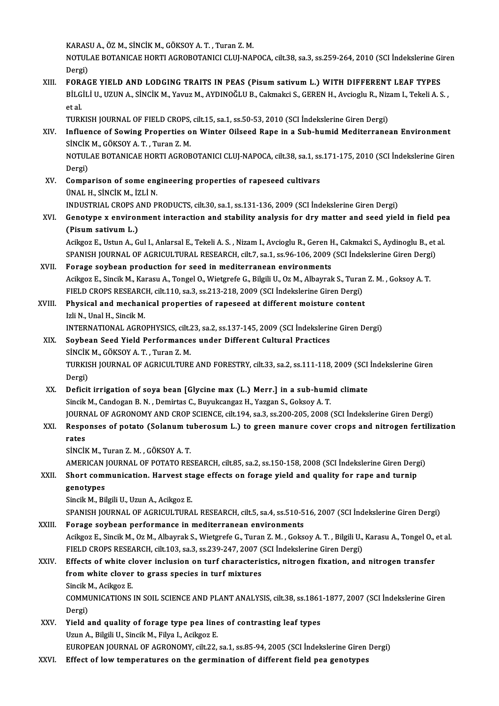KARASUA.,ÖZM.,SİNCİKM.,GÖKSOYA.T. ,TuranZ.M.

KARASU A., ÖZ M., SİNCİK M., GÖKSOY A. T. , Turan Z. M.<br>NOTULAE BOTANICAE HORTI AGROBOTANICI CLUJ-NAPOCA, cilt.38, sa.3, ss.259-264, 2010 (SCI İndekslerine Giren KARAS<br>NOTUL<br>Dergi)<br>EOP AC NOTULAE BOTANICAE HORTI AGROBOTANICI CLUJ-NAPOCA, cilt.38, sa.3, ss.259-264, 2010 (SCI İndekslerine Gi<br>Dergi)<br>XIII. FORAGE YIELD AND LODGING TRAITS IN PEAS (Pisum sativum L.) WITH DIFFERENT LEAF TYPES<br>PU CU LU UZUN A SİNCİ

Dergi)<br>FORAGE YIELD AND LODGING TRAITS IN PEAS (Pisum sativum L.) WITH DIFFERENT LEAF TYPES<br>BİLGİLİ U., UZUN A., SİNCİK M., Yavuz M., AYDINOĞLU B., Cakmakci S., GEREN H., Avcioglu R., Nizam I., Tekeli A. S. ,<br>et el **FOR.<br>BİLG<br>et al.<br>TUDL** BİLGİLİ U., UZUN A., SİNCİK M., Yavuz M., AYDINOĞLU B., Cakmakci S., GEREN H., Avcioglu R., Niz<br>et al.<br>TURKISH JOURNAL OF FIELD CROPS, cilt.15, sa.1, ss.50-53, 2010 (SCI İndekslerine Giren Dergi)<br>Influence of Sowing Propor

TURKISH JOURNAL OF FIELD CROPS, cilt.15, sa.1, ss.50-53, 2010 (SCI Indekslerine Giren Dergi)

et al.<br>TURKISH JOURNAL OF FIELD CROPS, cilt.15, sa.1, ss.50-53, 2010 (SCI İndekslerine Giren Dergi)<br>XIV. Influence of Sowing Properties on Winter Oilseed Rape in a Sub-humid Mediterranean Environment<br>SİNCİK M. GÖKSOY A. Influence of Sowing Properties on Winter Oilseed Rape in a Sub-humid Mediterranean Environment<br>SİNCİK M., GÖKSOY A. T. , Turan Z. M.<br>NOTULAE BOTANICAE HORTI AGROBOTANICI CLUJ-NAPOCA, cilt.38, sa.1, ss.171-175, 2010 (SCI İn

SİNCİK<br>NOTUL<br>Dergi)<br>Comna NOTULAE BOTANICAE HORTI AGROBOTANICI CLUJ-NAPOCA, cilt.38, sa.1, ss<br>Dergi)<br>XV. Comparison of some engineering properties of rapeseed cultivars<br>INALLY SINCIV M 17LLN

Dergi)<br>Comparison of some eng<br>ÜNAL H., SİNCİK M., İZLİ N.<br>INDUSTRIAL CRORS AND R Comparison of some engineering properties of rapeseed cultivars<br>ÜNAL H., SİNCİK M., İZLİ N.<br>INDUSTRIAL CROPS AND PRODUCTS, cilt.30, sa.1, ss.131-136, 2009 (SCI İndekslerine Giren Dergi)<br>Conotune v enuinenment interestien a

UNAL H., SINCIK M., IZLI N.<br>INDUSTRIAL CROPS AND PRODUCTS, cilt.30, sa.1, ss.131-136, 2009 (SCI Indekslerine Giren Dergi)<br>XVI. Genotype x environment interaction and stability analysis for dry matter and seed yield in f (INDUSTRIAL CROPS A<br> **Genotype x environ**<br>
(Pisum sativum L.)<br>
Agikger E. Hetup A. G Genotype x environment interaction and stability analysis for dry matter and seed yield in field pe<br>(Pisum sativum L.)<br>Acikgoz E., Ustun A., Gul I., Anlarsal E., Tekeli A. S. , Nizam I., Avcioglu R., Geren H., Cakmakci S.,

(Pisum sativum L.)<br>Acikgoz E., Ustun A., Gul I., Anlarsal E., Tekeli A. S. , Nizam I., Avcioglu R., Geren H., Cakmakci S., Aydinoglu B., et al.<br>SPANISH JOURNAL OF AGRICULTURAL RESEARCH, cilt.7, sa.1, ss.96-106, 2009 (SCI İ

## XVII. Forage soybean production for seed in mediterranean environments SPANISH JOURNAL OF AGRICULTURAL RESEARCH, cilt.7, sa.1, ss.96-106, 2009 (SCI İndekslerine Giren Dergi<br>Forage soybean production for seed in mediterranean environments<br>Acikgoz E., Sincik M., Karasu A., Tongel O., Wietgrefe Forage soybean production for seed in mediterranean environments<br>Acikgoz E., Sincik M., Karasu A., Tongel O., Wietgrefe G., Bilgili U., Oz M., Albayrak S., Turar<br>FIELD CROPS RESEARCH, cilt.110, sa.3, ss.213-218, 2009 (SCI Acikgoz E., Sincik M., Karasu A., Tongel O., Wietgrefe G., Bilgili U., Oz M., Albayrak S., Turan<br>FIELD CROPS RESEARCH, cilt.110, sa.3, ss.213-218, 2009 (SCI İndekslerine Giren Dergi)<br>XVIII. Physical and mechanical properti

# FIELD CROPS RESEARCH, cilt.110, sa.3, ss.213-218, 2009 (SCI İndekslerine Giren Dergi)<br>Physical and mechanical properties of rapeseed at different moisture content<br>Izli N., Unal H., Sincik M. Physical and mechanical properties of rapeseed at different moisture content<br>Izli N., Unal H., Sincik M.<br>INTERNATIONAL AGROPHYSICS, cilt.23, sa.2, ss.137-145, 2009 (SCI İndekslerine Giren Dergi)<br>Saybaan Saad Viald Barforma

- Izli N., Unal H., Sincik M.<br>INTERNATIONAL AGROPHYSICS, cilt.23, sa.2, ss.137-145, 2009 (SCI İndekslerir<br>XIX. Soybean Seed Yield Performances under Different Cultural Practices<br>Sincik M. Göksoy A.T. Turan 7. M. INTERNATIONAL AGROPHYSICS, cilt.<br>Soybean Seed Yield Performance<br>SİNCİK M., GÖKSOY A. T. , Turan Z. M.<br>TURKISH JOURNAL OF ACRICULTURE Soybean Seed Yield Performances under Different Cultural Practices<br>SiNCiK M., GÖKSOY A. T. , Turan Z. M.<br>TURKISH JOURNAL OF AGRICULTURE AND FORESTRY, cilt.33, sa.2, ss.111-118, 2009 (SCI İndekslerine Giren<br>Dergi) SİNCİK M., GÖKSOY A.T., Turan Z.M. TURKISH JOURNAL OF AGRICULTURE AND FORESTRY, cilt.33, sa.2, ss.111-118, 2009 (SCI<br>Dergi)<br>XX. Deficit irrigation of soya bean [Glycine max (L.) Merr.] in a sub-humid climate<br>Single M. Condogan B. N. Domintos C. Burnicongga
- Dergi)<br>Deficit irrigation of soya bean [Glycine max (L.) Merr.] in a sub-humi<br>Sincik M., Candogan B.N. , Demirtas C., Buyukcangaz H., Yazgan S., Goksoy A.T.<br>JOURNAL OF ACRONOMY AND CROR SCIENCE silt 194, sa 3,ss 300, 205, Sincik M., Candogan B. N. , Demirtas C., Buyukcangaz H., Yazgan S., Goksoy A. T.<br>JOURNAL OF AGRONOMY AND CROP SCIENCE, cilt.194, sa.3, ss.200-205, 2008 (SCI İndekslerine Giren Dergi) Sincik M., Candogan B. N. , Demirtas C., Buyukcangaz H., Yazgan S., Goksoy A. T.<br>JOURNAL OF AGRONOMY AND CROP SCIENCE, cilt.194, sa.3, ss.200-205, 2008 (SCI İndekslerine Giren Dergi)<br>XXI. Responses of potato (Solanum tuber
- **JOURN<br>Respo<br>rates<br>sinciu** Responses of potato (Solanum tu<br>rates<br>SİNCİK M., Turan Z. M. , GÖKSOY A. T.<br>AMERICAN JOURNAL OF POTATO PES rates<br>SİNCİK M., Turan Z. M. , GÖKSOY A. T.<br>AMERICAN JOURNAL OF POTATO RESEARCH, cilt.85, sa.2, ss.150-158, 2008 (SCI İndekslerine Giren Dergi)<br>Shart sammunisation, Harvest stage effects an fanage viald and quality for ran
	-

## SINCIK M., Turan Z. M. , GÖKSOY A. T.<br>AMERICAN JOURNAL OF POTATO RESEARCH, cilt.85, sa.2, ss.150-158, 2008 (SCI Indekslerine Giren Derg<br>XXII. Short communication. Harvest stage effects on forage yield and quality for rape AMERICAN<br>Short comi<br>genotypes<br>Sincik M. Pi Short communication. Harvest stage effects on forage yield and quality for rape and turnip genotypes<br>Sincik M., Bilgili U., Uzun A., Acikgoz E. genotypes<br>Sincik M., Bilgili U., Uzun A., Acikgoz E.<br>SPANISH JOURNAL OF AGRICULTURAL RESEARCH, cilt.5, sa.4, ss.510-516, 2007 (SCI İndekslerine Giren Dergi)<br>Ferage soubean perfermanee in mediterranean envirenments

# Sincik M., Bilgili U., Uzun A., Acikgoz E.<br>SPANISH JOURNAL OF AGRICULTURAL RESEARCH, cilt.5, sa.4, ss.510-5<br>XXIII. Forage soybean performance in mediterranean environments

SPANISH JOURNAL OF AGRICULTURAL RESEARCH, cilt.5, sa.4, ss.510-516, 2007 (SCI İndekslerine Giren Dergi)<br>Forage soybean performance in mediterranean environments<br>Acikgoz E., Sincik M., Oz M., Albayrak S., Wietgrefe G., Tura Forage soybean performance in mediterranean environments<br>Acikgoz E., Sincik M., Oz M., Albayrak S., Wietgrefe G., Turan Z. M. , Goksoy A. T. , Bilgili U.,<br>FIELD CROPS RESEARCH, cilt.103, sa.3, ss.239-247, 2007 (SCI İndeksl Acikgoz E., Sincik M., Oz M., Albayrak S., Wietgrefe G., Turan Z. M., Goksoy A. T., Bilgili U., Karasu A., Tongel O., FIELD CROPS RESEARCH, cilt.103, sa.3, ss.239-247, 2007 (SCI Indekslerine Giren Dergi)<br>XXIV. Effects of w

# FIELD CROPS RESEARCH, cilt.103, sa.3, ss.239-247, 2007 (<br>Effects of white clover inclusion on turf characteris<br>from white clover to grass species in turf mixtures<br>Singik M. Agikog E Effects of white clover inclusion on turf characteristics, nitrogen fixation, and nitrogen transfer from white clover to grass species in turf mixtures<br>Sincik M., Acikgoz E. from white clover to grass species in turf mixtures<br>Sincik M., Acikgoz E.<br>COMMUNICATIONS IN SOIL SCIENCE AND PLANT ANALYSIS, cilt.38, ss.1861-1877, 2007 (SCI İndekslerine Giren<br>Persi)

Sincik M<br>COMMI<br>Dergi)<br>Vield a COMMUNICATIONS IN SOIL SCIENCE AND PLANT ANALYSIS, cilt.38, ss.1861<br>Dergi)<br>XXV. Yield and quality of forage type pea lines of contrasting leaf types<br>Ump A. Bilgili U. Singil: M. Eilya L. Agilgag E.

- Dergi)<br>Yield and quality of forage type pea line<br>Uzun A., Bilgili U., Sincik M., Filya I., Acikgoz E.<br>EUROPEAN JOURNAL OF ACRONOMY silt 22 Uzun A., Bilgili U., Sincik M., Filya I., Acikgoz E.<br>EUROPEAN JOURNAL OF AGRONOMY, cilt.22, sa.1, ss.85-94, 2005 (SCI İndekslerine Giren Dergi)
- XXVI. Effect of low temperatures on the germination of different field pea genotypes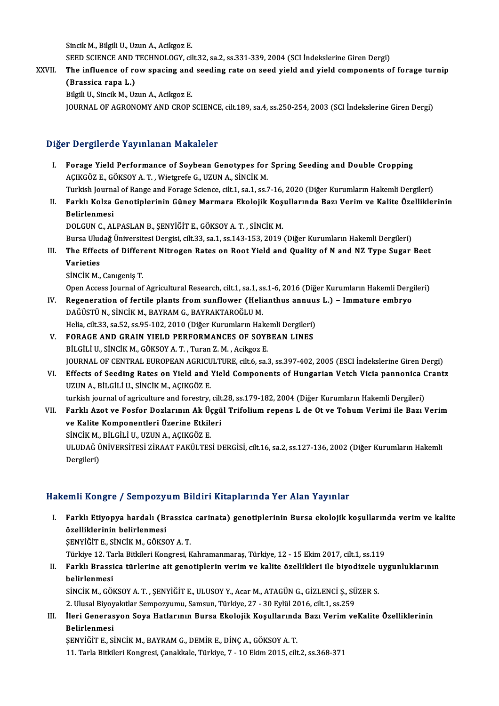Sincik M., Bilgili U., Uzun A., Acikgoz E.

Sincik M., Bilgili U., Uzun A., Acikgoz E.<br>SEED SCIENCE AND TECHNOLOGY, cilt.32, sa.2, ss.331-339, 2004 (SCI İndekslerine Giren Dergi)<br>The influence of new specing and seeding pate an seed wield and wield components o

# XXVII. The influence of row spacing and seeding rate on seed yield and yield components of forage turnip (Brassica rapa L.) SEED SCIENCE AND T<br>The influence of ro<br>(Brassica rapa L.)<br>Bilgili II, Singil: M. Ha

Bilgili U., Sincik M., Uzun A., Acikgoz E. JOURNAL OF AGRONOMY AND CROP SCIENCE, cilt.189, sa.4, ss.250-254, 2003 (SCI İndekslerine Giren Dergi)

## Diğer Dergilerde Yayınlanan Makaleler

Iger Dergilerde Yayınlanan Makaleler<br>I. Forage Yield Performance of Soybean Genotypes for Spring Seeding and Double Cropping<br>ACIKCÖZE CÖKSOV A.T. Wistspate C. UZUN A. SINCİK M AÇIKGÖZ E.,GÖKSOYA.T. ,WietgrefeG.,UZUNA.,SİNCİKM. Forage Yield Performance of Soybean Genotypes for Spring Seeding and Double Cropping<br>AÇIKGÖZ E., GÖKSOY A. T. , Wietgrefe G., UZUN A., SİNCİK M.<br>Turkish Journal of Range and Forage Science, cilt.1, sa.1, ss.7-16, 2020 (Diğ

Turkish Journal of Range and Forage Science, cilt.1, sa.1, ss.7-16, 2020 (Diğer Kurumların Hakemli Dergileri)

II. Farklı Kolza Genotiplerinin Güney Marmara Ekolojik Koşullarında Bazı Verim ve Kalite Özelliklerinin<br>Belirlenmesi

DOLGUNC.,ALPASLANB.,ŞENYİĞİTE.,GÖKSOYA.T. ,SİNCİKM.

Bursa Uludağ Üniversitesi Dergisi, cilt.33, sa.1, ss.143-153, 2019 (Diğer Kurumların Hakemli Dergileri)

DOLGUN C., ALPASLAN B., ŞENYİĞİT E., GÖKSOY A. T. , SİNCİK M.<br>Bursa Uludağ Üniversitesi Dergisi, cilt.33, sa.1, ss.143-153, 2019 (Diğer Kurumların Hakemli Dergileri)<br>III. The Effects of Different Nitrogen Rates on Root Bursa Ulud<br><mark>The Effec</mark><br>Varieties<br>Sinciv M The Effects of Differ<br>Varieties<br>SİNCİK M., Canıgeniş T.<br>Open Access Journal of Varieties<br>SİNCİK M., Canıgeniş T.<br>Open Access Journal of Agricultural Research, cilt.1, sa.1, ss.1-6, 2016 (Diğer Kurumların Hakemli Dergileri)

- SINCIK M., Canigeniş T.<br>Open Access Journal of Agricultural Research, cilt.1, sa.1, ss.1-6, 2016 (Diğer Kurumların Hakemli Derg<br>IV. Regeneration of fertile plants from sunflower (Helianthus annuus L.) Immature embryo<br>DAČ DAĞÜSTÜN, SİNCİKM., BAYRAM G., BAYRAKTAROĞLUM. Regeneration of fertile plants from sunflower (Helianthus annuu:<br>DAĞÜSTÜ N., SİNCİK M., BAYRAM G., BAYRAKTAROĞLU M.<br>Helia, cilt.33, sa.52, ss.95-102, 2010 (Diğer Kurumların Hakemli Dergileri)<br>FORACE AND CRAIN VIELD REREORM DAĞÜSTÜ N., SİNCİK M., BAYRAM G., BAYRAKTAROĞLU M.<br>Helia, cilt.33, sa.52, ss.95-102, 2010 (Diğer Kurumların Hakemli Dergileri)<br>V. FORAGE AND GRAIN YIELD PERFORMANCES OF SOYBEAN LINES<br>PU CU U U SNCİK M. CÖKSOYA T. Turan Z.M
	-
- Helia, cilt.33, sa.52, ss.95-102, 2010 (Diğer Kurumların Hake<br>FORAGE AND GRAIN YIELD PERFORMANCES OF SOYI<br>BİLGİLİ U., SİNCİK M., GÖKSOY A.T., Turan Z. M., Acikgoz E.<br>JOUPNAL OE CENTRAL EUROPEAN ACRICULTURE silt 6, ss. FORAGE AND GRAIN YIELD PERFORMANCES OF SOYBEAN LINES<br>BİLGİLİ U., SİNCİK M., GÖKSOY A. T. , Turan Z. M. , Acikgoz E.<br>JOURNAL OF CENTRAL EUROPEAN AGRICULTURE, cilt.6, sa.3, ss.397-402, 2005 (ESCI İndekslerine Giren Dergi)<br>Ef BİLGİLİ U., SİNCİK M., GÖKSOY A. T. , Turan Z. M. , Acikgoz E.<br>JOURNAL OF CENTRAL EUROPEAN AGRICULTURE, cilt.6, sa.3, ss.397-402, 2005 (ESCI İndekslerine Giren Dergi)<br>VI. Effects of Seeding Rates on Yield and Yield Compone
- JOURNAL OF CENTRAL EUROPEAN AGRICU<br>Effects of Seeding Rates on Yield and<br>UZUN A., BİLGİLİ U., SİNCİK M., AÇIKGÖZ E.<br>turkisk iournal of agriculture and forestru. Effects of Seeding Rates on Yield and Yield Components of Hungarian Vetch Vicia pannonica (<br>UZUN A., BİLGİLİ U., SİNCİK M., AÇIKGÖZ E.<br>turkish journal of agriculture and forestry, cilt.28, ss.179-182, 2004 (Diğer Kurumları

UZUN A., BİLGİLİ U., SİNCİK M., AÇIKGÖZ E.<br>turkish journal of agriculture and forestry, cilt.28, ss.179-182, 2004 (Diğer Kurumların Hakemli Dergileri)<br>VII. Farklı Azot ve Fosfor Dozlarının Ak Üçgül Trifolium repens L de turkish journal of agriculture and forestry, cilt<br>Farklı Azot ve Fosfor Dozlarının Ak Üçgü<br>ve Kalite Komponentleri Üzerine Etkileri<br>Sinciv M. Pit Cit i U. UZUN A. ACIVCÖZ E Farklı Azot ve Fosfor Dozlarının Ak Ü<sub>S</sub><br>ve Kalite Komponentleri Üzerine Etkil<sup>l</sup><br>SİNCİK M., BİLGİLİ U., UZUN A., AÇIKGÖZ E.<br>ULUDAĞ ÜNİVERSİTESİ ZİRAAT FAKÜLTES ULUDAĞ ÜNİVERSİTESİ ZİRAAT FAKÜLTESİ DERGİSİ, cilt.16, sa.2, ss.127-136, 2002 (Diğer Kurumların Hakemli Dergileri) SİNCİK M.,<br>ULUDAĞ Ü<br>Dergileri)

## Hakemli Kongre / Sempozyum Bildiri Kitaplarında Yer Alan Yayınlar

akemli Kongre / Sempozyum Bildiri Kitaplarında Yer Alan Yayınlar<br>I. Farklı Etiyopya hardalı (Brassica carinata) genotiplerinin Bursa ekolojik koşullarında verim ve kalite<br>Azelliklerinin belirlenmesi özelliklerinin belirlenmesi<br>Farklı Etiyopya hardalı (Bı<br>özelliklerinin belirlenmesi<br>SENVİĞİTE SİNCİKM CÖKS Farklı Etiyopya hardalı (Brassica<br>özelliklerinin belirlenmesi<br>ŞENYİĞİT E., SİNCİK M., GÖKSOY A. T.<br>Türkiye 12. Tarla Bitkileri Kongresi, K <mark>özelliklerinin belirlenmesi</mark><br>ŞENYİĞİT E., SİNCİK M., GÖKSOY A. T.<br>Türkiye 12. Tarla Bitkileri Kongresi, Kahramanmaraş, Türkiye, 12 - 15 Ekim 2017, cilt.1, ss.119

## ŞENYİĞİT E., SİNCİK M., GÖKSOY A. T.<br>Türkiye 12. Tarla Bitkileri Kongresi, Kahramanmaraş, Türkiye, 12 - 15 Ekim 2017, cilt.1, ss.119<br>II. Farklı Brassica türlerine ait genotiplerin verim ve kalite özellikleri ile biyodi Türkiye 12. Ta<br>Farklı Brassi<br>belirlenmesi<br>sinciv M. Cöl Farklı Brassica türlerine ait genotiplerin verim ve kalite özellikleri ile biyodizele ı<br>belirlenmesi<br>SİNCİK M., GÖKSOY A. T. , ŞENYİĞİT E., ULUSOY Y., Acar M., ATAGÜN G., GİZLENCİ Ş., SÜZER S.<br>2. Ulusel Biyoveltiler Semnez belirlenmesi<br>2.Ulusal Bincik M., Göksoy A. T. , ŞENYİĞİT E., ULUSOY Y., Acar M., ATAGÜN G., GİZLENCİ Ş., SÜZER S

SİNCİK M., GÖKSOY A. T. , ŞENYİĞİT E., ULUSOY Y., Acar M., ATAGÜN G., GİZLENCİ Ş., SÜZER S.<br>2. Ulusal Biyoyakıtlar Sempozyumu, Samsun, Türkiye, 27 - 30 Eylül 2016, cilt.1, ss.259<br>III. İleri Generasyon Soya Hatlarının B 2. Ulusal Biyoyakıtlar Sempozyumu, Samsun, Türkiye, 27 - 30 Eylül 2016, cilt.1, ss.259<br>İleri Generasyon Soya Hatlarının Bursa Ekolojik Koşullarında Bazı Verim ve<br>Belirlenmesi<br>SENYİĞİT E., SİNCİK M., BAYRAM G., DEMİR E., Dİ İleri Generasyon Soya Hatlarının Bursa Ekolojik Koşullarınd:<br>Belirlenmesi<br>ŞENYİĞİT E., SİNCİK M., BAYRAM G., DEMİR E., DİNÇ A., GÖKSOY A. T.<br>11. Tarla Bitkileri Kongresi Canakkale Türkiye 7, 10 Ekim 2015, cil

11. Tarla Bitkileri Kongresi, Çanakkale, Türkiye, 7 - 10 Ekim 2015, cilt.2, ss.368-371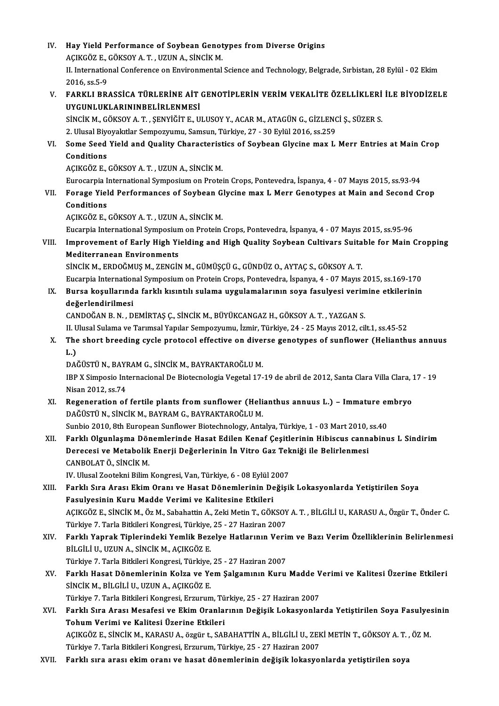IV. Hay Yield Performance of Soybean Genotypes from Diverse Origins<br>ACIVCÖZE CÖVSOV A T. UZUN A SİNCİV M Hay Yield Performance of Soybean Genot<br>AÇIKGÖZ E., GÖKSOY A. T. , UZUN A., SİNCİK M.<br>II. International Conference en Environmental II. International Conference on Environmental Science and Technology, Belgrade, Sırbistan, 28 Eylül - 02 Ekim<br>2016. ss.5-9 AÇIKGÖZ E., GÖKSOY A. T., UZUN A., SİNCİK M. II. International Conference on Environmental Science and Technology, Belgrade, Sırbistan, 28 Eylül - 02 Ekim<br>2016, ss.5-9<br>V. – FARKLI BRASSİCA TÜRLERİNE AİT GENOTİPLERİN VERİM VEKALİTE ÖZELLİKLERİ İLE BİYODİZELE 2016, ss.5-9<br>FARKLI BRASSİCA TÜRLERİNE AİT<br>UYGUNLUKLARININBELİRLENMESİ<br>SİNCİK M. GÖKSOV A.T., SENVİĞİTE U FARKLI BRASSİCA TÜRLERİNE AİT GENOTİPLERİN VERİM VEKALİTE ÖZELLİKLERİ<br>UYGUNLUKLARININBELİRLENMESİ<br>SİNCİK M., GÖKSOY A. T. , ŞENYİĞİT E., ULUSOY Y., ACAR M., ATAGÜN G., GİZLENCİ Ş., SÜZER S.<br>2. Ulusal Biyoyalttlar Samnarını UYGUNLUKLARININBELİRLENMESİ<br>SİNCİK M., GÖKSOY A. T. , ŞENYİĞİT E., ULUSOY Y., ACAR M., ATAGÜN G., GİZLENC<br>2. Ulusal Biyoyakıtlar Sempozyumu, Samsun, Türkiye, 27 - 30 Eylül 2016, ss.259<br>Sama Saad Yiald and Quality Charaster SINCIK M., GÖKSOY A. T. , ŞENYIĞİT E., ULUSOY Y., ACAR M., ATAGÜN G., GİZLENCİ Ş., SÜZER S.<br>2. Ulusal Biyoyakıtlar Sempozyumu, Samsun, Türkiye, 27 - 30 Eylül 2016, ss.259<br>VI. Some Seed Yield and Quality Characteristics of 2. Ulusal Biye<br>Some Seed<br>Conditions<br>ACIVCÖZ E Some Seed Yield and Quality Characterist<br>Conditions<br>AÇIKGÖZ E., GÖKSOY A. T. , UZUN A., SİNCİK M.<br>Eurosarnia International Sumnesium en Protei Conditions<br>AÇIKGÖZ E., GÖKSOY A. T. , UZUN A., SİNCİK M.<br>Eurocarpia International Symposium on Protein Crops, Pontevedra, İspanya, 4 - 07 Mayıs 2015, ss.93-94 AÇIKGÖZ E., GÖKSOY A. T. , UZUN A., SİNCİK M.<br>Eurocarpia International Symposium on Protein Crops, Pontevedra, İspanya, 4 - 07 Mayıs 2015, ss.93-94<br>VII. Forage Yield Performances of Soybean Glycine max L Merr Genotypes Eurocarpia I<br>Forage Yiel<br>Conditions<br>ACIVCÖZ E Conditions<br>AÇIKGÖZ E., GÖKSOY A. T. , UZUN A., SİNCİK M. Eucarpia International Symposium on Protein Crops, Pontevedra, İspanya, 4 - 07 Mayıs 2015, ss.95-96 AÇIKGÖZ E., GÖKSOY A. T. , UZUN A., SİNCİK M.<br>Eucarpia International Symposium on Protein Crops, Pontevedra, İspanya, 4 - 07 Mayıs 2015, ss.95-96<br>VIII. Improvement of Early High Yielding and High Quality Soybean Cultiv Eucarpia International Symposiun<br>Improvement of Early High Yi<br>Mediterranean Environments<br>Sinciv M. EPDOČMUS M. ZENCIA Improvement of Early High Yielding and High Quality Soybean Cultivars Suita<br>Mediterranean Environments<br>SİNCİK M., ERDOĞMUŞ M., ZENGİN M., GÜMÜŞÇÜ G., GÜNDÜZ O., AYTAÇ S., GÖKSOY A. T.<br>Fugarnia International Sumposium on Pr Mediterranean Environments<br>SİNCİK M., ERDOĞMUŞ M., ZENGİN M., GÜMÜŞÇÜ G., GÜNDÜZ O., AYTAÇ S., GÖKSOY A. T.<br>Eucarpia International Symposium on Protein Crops, Pontevedra, İspanya, 4 - 07 Mayıs 2015, ss.169-170<br>Pursa kosull SİNCİK M., ERDOĞMUŞ M., ZENGİN M., GÜMÜŞÇÜ G., GÜNDÜZ O., AYTAÇ S., GÖKSOY A. T.<br>Eucarpia International Symposium on Protein Crops, Pontevedra, İspanya, 4 - 07 Mayıs 2015, ss.169-170<br>IX. Bursa koşullarında farklı kısıntılı Eucarpia Internation<br>Bursa koşullarınd<br>değerlendirilmesi<br>CANDOČAN B.N. D Bursa koşullarında farklı kısıntılı sulama uygulamalarının soya fasulyesi verim<br>değerlendirilmesi<br>CANDOĞAN B. N. , DEMİRTAŞ Ç., SİNCİK M., BÜYÜKCANGAZ H., GÖKSOY A. T. , YAZGAN S.<br>H. Hlucel Sulama ve Tarımçal Yanılar Samna değerlendirilmesi<br>CANDOĞAN B. N. , DEMİRTAŞ Ç., SİNCİK M., BÜYÜKCANGAZ H., GÖKSOY A. T. , YAZGAN S.<br>II. Ulusal Sulama ve Tarımsal Yapılar Sempozyumu, İzmir, Türkiye, 24 - 25 Mayıs 2012, cilt.1, ss.45-52<br>The shert hreeding CANDOĞAN B. N. , DEMİRTAŞ Ç., SİNCİK M., BÜYÜKCANGAZ H., GÖKSOY A. T. , YAZGAN S.<br>II. Ulusal Sulama ve Tarımsal Yapılar Sempozyumu, İzmir, Türkiye, 24 - 25 Mayıs 2012, cilt.1, ss.45-52<br>X. The short breeding cycle proto II. Ulusal Sulama ve Tarımsal Yapılar Sempozyumu, İzmir, Türkiye, 24 - 25 Mayıs 2012, cilt.1, ss.45-52<br>The short breeding cycle protocol effective on diverse genotypes of sunflower (Helianth<br>L.)<br>DAĞÜSTÜ N., BAYRAM G., SİNC The short breeding cycle protocol effective on dive:<br>L.)<br>DAĞÜSTÜ N., BAYRAM G., SİNCİK M., BAYRAKTAROĞLU M.<br>IPP Y Simpesia Internacional De Bisteenelegia Vegetel 17 L.)<br>DAĞÜSTÜ N., BAYRAM G., SİNCİK M., BAYRAKTAROĞLU M.<br>IBP X Simposio Internacional De Biotecnologia Vegetal 17-19 de abril de 2012, Santa Clara Villa Clara, 17 - 19<br>Nisan 2012, SS 74 DAĞÜSTÜ N., BAYI<br>IBP X Simposio Int<br>Nisan 2012, ss.74<br>Begeneration of IBP X Simposio Internacional De Biotecnologia Vegetal 17-19 de abril de 2012, Santa Clara Villa Clara, :<br>Nisan 2012, ss.74<br>XI. Regeneration of fertile plants from sunflower (Helianthus annuus L.) – Immature embryo<br>DAČISTIJ Nisan 2012, ss.74<br>XI. Regeneration of fertile plants from sunflower (Helianthus annuus L.) – Immature embryo<br>DAĞÜSTÜN., SİNCİK M., BAYRAM G., BAYRAKTAROĞLU M. Regeneration of fertile plants from sunflower (Helianthus annuus L.) – Immature er<br>DAĞÜSTÜ N., SİNCİK M., BAYRAM G., BAYRAKTAROĞLU M.<br>Sunbio 2010, 8th European Sunflower Biotechnology, Antalya, Türkiye, 1 - 03 Mart 2010, s DAĞÜSTÜ N., SİNCİK M., BAYRAM G., BAYRAKTAROĞLU M.<br>Sunbio 2010, 8th European Sunflower Biotechnology, Antalya, Türkiye, 1 - 03 Mart 2010, ss.40<br>XII. Farklı Olgunlaşma Dönemlerinde Hasat Edilen Kenaf Çeşitlerinin Hibisc Sunbio 2010, 8th European Sunflower Biotechnology, Antalya, Türkiye, 1 - 03 Mart 2010,<br>Farklı Olgunlaşma Dönemlerinde Hasat Edilen Kenaf Çeşitlerinin Hibiscus cann<br>Derecesi ve Metabolik Enerji Değerlerinin İn Vitro Gaz Tek Farklı Olgunlaşma Dör<br>Derecesi ve Metabolik<br>CANBOLAT Ö., SİNCİK M.<br>W. Uluqal Zeatalmi Bilim Derecesi ve Metabolik Enerji Değerlerinin İn Vitro Gaz Tekniği ile Belirlenmesi<br>CANBOLAT Ö., SİNCİK M.<br>IV. Ulusal Zootekni Bilim Kongresi, Van, Türkiye, 6 - 08 Eylül 2007 XIII. Farklı Sıra Arası Ekim Oranı ve Hasat Dönemlerinin Değişik Lokasyonlarda Yetiştirilen Soya Fasulyesinin Kuru Madde Verimi ve Kalitesine Etkileri Farklı Sıra Arası Ekim Oranı ve Hasat Dönemlerinin Değişik Lokasyonlarda Yetiştirilen Soya<br>Fasulyesinin Kuru Madde Verimi ve Kalitesine Etkileri<br>AÇIKGÖZ E., SİNCİK M., Öz M., Sabahattin A., Zeki Metin T., GÖKSOY A. T. , Bİ Fasulyesinin Kuru Madde Verimi ve Kalitesine Etkileri<br>AÇIKGÖZ E., SİNCİK M., Öz M., Sabahattin A., Zeki Metin T., GÖKSOY<br>Türkiye 7. Tarla Bitkileri Kongresi, Türkiye, 25 - 27 Haziran 2007<br>Farklı Yanrak Tinlerindeki Yemlik AÇIKGÖZ E., SİNCİK M., Öz M., Sabahattin A., Zeki Metin T., GÖKSOY A. T. , BİLGİLİ U., KARASU A., Özgür T., Önder C.<br>Türkiye 7. Tarla Bitkileri Kongresi, Türkiye, 25 - 27 Haziran 2007<br>XIV. Farklı Yaprak Tiplerindeki Ye Türkiye 7. Tarla Bitkileri Kongresi, Türkiye,<br>Farklı Yaprak Tiplerindeki Yemlik Bez<br>BİLGİLİ U., UZUN A., SİNCİK M., AÇIKGÖZ E.<br>Türkiye 7. Terle Bitkileri Kongresi, Türkiye Farklı Yaprak Tiplerindeki Yemlik Bezelye Hatlarının Verii<br>BİLGİLİ U., UZUN A., SİNCİK M., AÇIKGÖZ E.<br>Türkiye 7. Tarla Bitkileri Kongresi, Türkiye, 25 - 27 Haziran 2007<br>Farklı Hasat Dönemlerinin Kolsa ve Yem Salsamının Kur BİLGİLİ U., UZUN A., SİNCİK M., AÇIKGÖZ E.<br>Türkiye 7. Tarla Bitkileri Kongresi, Türkiye, 25 - 27 Haziran 2007<br>XV. Farklı Hasat Dönemlerinin Kolza ve Yem Şalgamının Kuru Madde Verimi ve Kalitesi Üzerine Etkileri<br>SİNCİY Türkiye 7. Tarla Bitkileri Kongresi, Türkiye, 25 - 27 Haziran 2007<br>Farklı Hasat Dönemlerinin Kolza ve Yem Şalgamının Kuru<br>SİNCİK M., BİLGİLİ U., UZUN A., ACIKGÖZ E. Farklı Hasat Dönemlerinin Kolza ve Yem Şalgamının Kuru Madde V<br>SİNCİK M., BİLGİLİ U., UZUN A., AÇIKGÖZ E.<br>Türkiye 7. Tarla Bitkileri Kongresi, Erzurum, Türkiye, 25 - 27 Haziran 2007<br>Farklı Sıra Anası Masafasi ve Ekim Oranl SİNCİK M., BİLGİLİ U., UZUN A., AÇIKGÖZ E.<br>Türkiye 7. Tarla Bitkileri Kongresi, Erzurum, Türkiye, 25 - 27 Haziran 2007<br>XVI. Farklı Sıra Arası Mesafesi ve Ekim Oranlarının Değişik Lokasyonlarda Yetiştirilen Soya Fasulye Türkiye 7. Tarla Bitkileri Kongresi, Erzurum, Türkiye, 25 - 27 Haziran 2007<br>Farklı Sıra Arası Mesafesi ve Ekim Oranlarının Değişik Lokasyonla<br>Tohum Verimi ve Kalitesi Üzerine Etkileri Farklı Sıra Arası Mesafesi ve Ekim Oranlarının Değişik Lokasyonlarda Yetiştirilen Soya Fasulye:<br>Tohum Verimi ve Kalitesi Üzerine Etkileri<br>AÇIKGÖZ E., SİNCİK M., KARASU A., özgür t., SABAHATTİN A., BİLGİLİ U., ZEKİ METİN T. AÇIKGÖZ E., SİNCİK M., KARASU A., özgür t., SABAHATTİN A., BİLGİLİ U., ZEKİ METİN T., GÖKSOY A. T. , ÖZ M.<br>Türkiye 7. Tarla Bitkileri Kongresi, Erzurum, Türkiye, 25 - 27 Haziran 2007 XVII. Farklı sıra arası ekim oranı ve hasat dönemlerinin değişik lokasyonlarda yetiştirilen soya